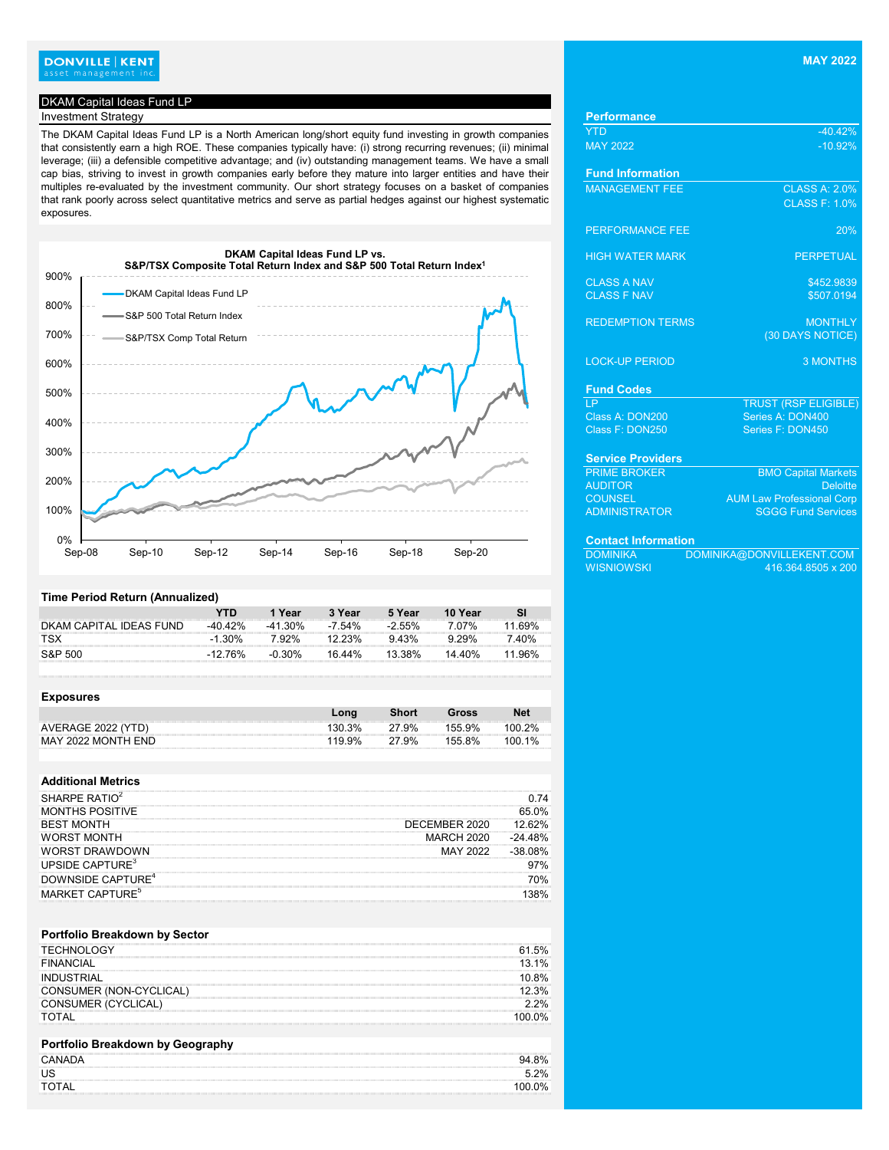# **DONVILLE | KENT**<br>asset management inc.

## DKAM Capital Ideas Fund LP

# **Investment Strategy**

The DKAM Capital Ideas Fund LP is a North American long/short equity fund investing in growth companies that consistently earn a high ROE. These companies typically have: (i) strong recurring revenues; (ii) minimal leverage; (iii) a defensible competitive advantage; and (iv) outstanding management teams. We have a small cap bias, striving to invest in growth companies early before they mature into larger entities and have their multiples re-evaluated by the investment community. Our short strategy focuses on a basket of companies that rank poorly across select quantitative metrics and serve as partial hedges against our highest systematic exposures.



#### **Time Period Return (Annualized)**

|                         | YTN        | 1 Year     | 3 Year    | 5 Year   | 10 Year  |        |
|-------------------------|------------|------------|-----------|----------|----------|--------|
| DKAM CAPITAL IDEAS FUND | $-40.42\%$ | $-41.30\%$ | $-7.54\%$ | $-2.55%$ | 7 07%    | .69%   |
| <b>TSX</b>              | $-1.30\%$  | 7.92%      | $12.23\%$ | $9.43\%$ | $9.29\%$ | 7.40%  |
| S&P 500                 | -12 76%    | $-0.30\%$  | 16 44%    | 13.38%   | 14.40%   | 11.96% |

| <b>Exposures</b>   |        |              |        |            |
|--------------------|--------|--------------|--------|------------|
|                    | Long   | <b>Short</b> | Gross  | <b>Net</b> |
| AVERAGE 2022 (YTD) | 130.3% | 27.9%        | 155 9% | 100 2%     |
| MAY 2022 MONTH END | 119.9% | 27.9%        | 155.8% | $100.1\%$  |

#### **Additional Metrics**

| SHARPE RATIO <sup>2</sup>                                                                                                              |               |       |
|----------------------------------------------------------------------------------------------------------------------------------------|---------------|-------|
| the contract of the contract of the contract of the contract of the contract of the contract of the contract of<br>)NTHS POSITIVE<br>м |               | 65 በ% |
| <b>BEST MONTH</b>                                                                                                                      | DECEMBER 2020 | 62%   |
| <b>WORST MONTH</b>                                                                                                                     | MARCH 2020    | 48%   |
| )RST DRAWDOWN                                                                                                                          |               |       |
| UPSIDE CAPTURE <sup>3</sup>                                                                                                            |               | '%    |
| DOWNSIDE CAPTURE <sup>4</sup>                                                                                                          |               | ገ%    |
| MARKET CAPTURE <sup>5</sup><br>,我们的人们就会在这里的时候,我们就会在这里的时候,我们就会在这里的时候,我们就会在这里的时候,我们就会在这里的时候,我们就会在这里的时候,我们就会在这里的时候                        |               |       |

#### **Portfolio Breakdown by Sector**

| <b>TECHNOLOGY</b>          | .5%    |
|----------------------------|--------|
| <b>FINANCIAL</b>           | 13.1%  |
| INDUSTRIAL                 | 10.8%  |
| CONSUMER (NON-CYCLICAL)    | 3%     |
| <b>CONSUMER (CYCLICAL)</b> | 2.2%   |
| TOTAL                      | 100 0% |
|                            |        |

### **Portfolio Breakdown by Geography**

| <b>CANADA</b>                                                                                                                                                                                                                             | 94.8%  |
|-------------------------------------------------------------------------------------------------------------------------------------------------------------------------------------------------------------------------------------------|--------|
|                                                                                                                                                                                                                                           | 2%     |
| TAL                                                                                                                                                                                                                                       | 100.0% |
| $\mathcal{L}^{\text{max}}$ . The contract of the contract of the contract of the contract of the contract of the contract of the contract of the contract of the contract of the contract of the contract of the contract of the contract |        |

| <b>Performance</b>         |                                  |
|----------------------------|----------------------------------|
| <b>YTD</b>                 | $-40.42%$                        |
| <b>MAY 2022</b>            | $-10.92%$                        |
| <b>Fund Information</b>    |                                  |
| <b>MANAGEMENT FEE</b>      | <b>CLASS A: 2.0%</b>             |
|                            | <b>CLASS F: 1.0%</b>             |
| <b>PERFORMANCE FEE</b>     | 20%                              |
| <b>HIGH WATER MARK</b>     | <b>PERPETUAL</b>                 |
| <b>CLASS A NAV</b>         | \$452.9839                       |
| <b>CLASS F NAV</b>         | \$507.0194                       |
|                            |                                  |
| <b>REDEMPTION TERMS</b>    | <b>MONTHLY</b>                   |
|                            | (30 DAYS NOTICE)                 |
| <b>LOCK-UP PERIOD</b>      | <b>3 MONTHS</b>                  |
| <b>Fund Codes</b>          |                                  |
| LP.                        | <b>TRUST (RSP ELIGIBLE)</b>      |
| Class A: DON200            | Series A: DON400                 |
| Class F: DON250            | Series F: DON450                 |
| <b>Service Providers</b>   |                                  |
| <b>PRIME BROKER</b>        | <b>BMO Capital Markets</b>       |
| <b>AUDITOR</b>             | <b>Deloitte</b>                  |
| <b>COUNSEL</b>             | <b>AUM Law Professional Corp</b> |
| <b>ADMINISTRATOR</b>       | <b>SGGG Fund Services</b>        |
| <b>Contact Information</b> |                                  |
| <b>DOMINIKA</b>            | DOMINIKA@DONVILLEKENT.COM        |
| <b>WISNIOWSKI</b>          | 416.364.8505 x 200               |
|                            |                                  |
|                            |                                  |
|                            |                                  |